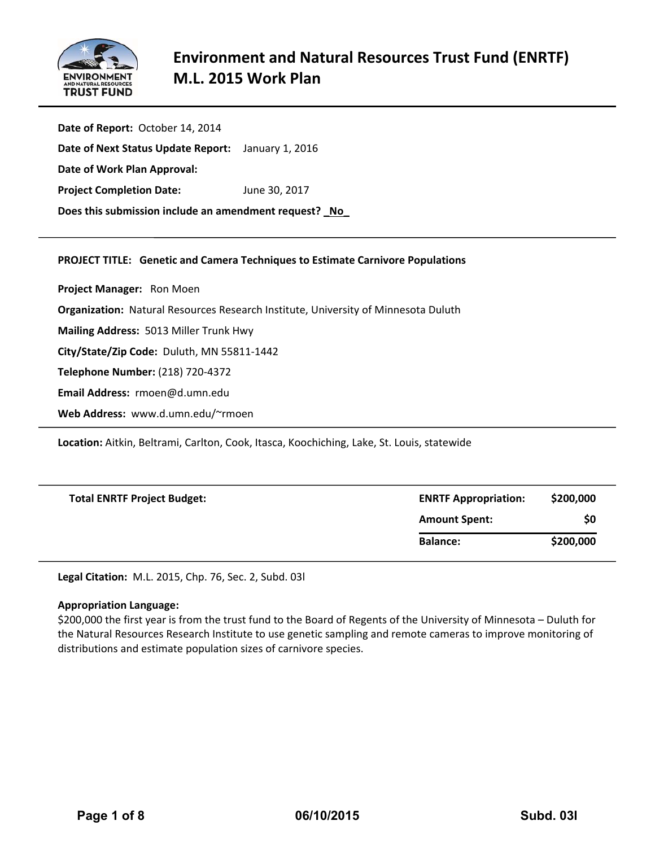

**Date of Report:** October 14, 2014 **Date of Next Status Update Report:**  January 1, 2016 **Date of Work Plan Approval: Project Completion Date:** June 30, 2017 **Does this submission include an amendment request? \_No\_**

# **PROJECT TITLE: Genetic and Camera Techniques to Estimate Carnivore Populations**

**Project Manager:**  Ron Moen

**Organization:** Natural Resources Research Institute, University of Minnesota Duluth

**Mailing Address:** 5013 Miller Trunk Hwy

**City/State/Zip Code:** Duluth, MN 55811‐1442

**Telephone Number:** (218) 720‐4372

**Email Address:** rmoen@d.umn.edu

**Web Address:** www.d.umn.edu/~rmoen

**Location:** Aitkin, Beltrami, Carlton, Cook, Itasca, Koochiching, Lake, St. Louis, statewide

| <b>Total ENRTF Project Budget:</b> | <b>ENRTF Appropriation:</b> | \$200,000 |
|------------------------------------|-----------------------------|-----------|
|                                    | <b>Amount Spent:</b>        | \$0       |
|                                    | <b>Balance:</b>             | \$200,000 |

**Legal Citation:** M.L. 2015, Chp. 76, Sec. 2, Subd. 03l

#### **Appropriation Language:**

\$200,000 the first year is from the trust fund to the Board of Regents of the University of Minnesota – Duluth for the Natural Resources Research Institute to use genetic sampling and remote cameras to improve monitoring of distributions and estimate population sizes of carnivore species.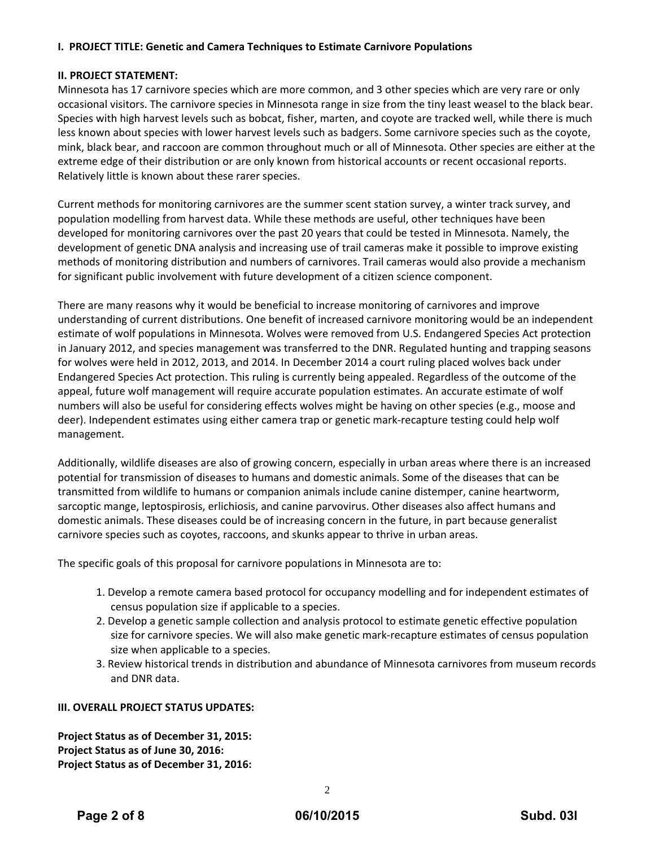# **I. PROJECT TITLE: Genetic and Camera Techniques to Estimate Carnivore Populations**

# **II. PROJECT STATEMENT:**

Minnesota has 17 carnivore species which are more common, and 3 other species which are very rare or only occasional visitors. The carnivore species in Minnesota range in size from the tiny least weasel to the black bear. Species with high harvest levels such as bobcat, fisher, marten, and coyote are tracked well, while there is much less known about species with lower harvest levels such as badgers. Some carnivore species such as the coyote, mink, black bear, and raccoon are common throughout much or all of Minnesota. Other species are either at the extreme edge of their distribution or are only known from historical accounts or recent occasional reports. Relatively little is known about these rarer species.

Current methods for monitoring carnivores are the summer scent station survey, a winter track survey, and population modelling from harvest data. While these methods are useful, other techniques have been developed for monitoring carnivores over the past 20 years that could be tested in Minnesota. Namely, the development of genetic DNA analysis and increasing use of trail cameras make it possible to improve existing methods of monitoring distribution and numbers of carnivores. Trail cameras would also provide a mechanism for significant public involvement with future development of a citizen science component.

There are many reasons why it would be beneficial to increase monitoring of carnivores and improve understanding of current distributions. One benefit of increased carnivore monitoring would be an independent estimate of wolf populations in Minnesota. Wolves were removed from U.S. Endangered Species Act protection in January 2012, and species management was transferred to the DNR. Regulated hunting and trapping seasons for wolves were held in 2012, 2013, and 2014. In December 2014 a court ruling placed wolves back under Endangered Species Act protection. This ruling is currently being appealed. Regardless of the outcome of the appeal, future wolf management will require accurate population estimates. An accurate estimate of wolf numbers will also be useful for considering effects wolves might be having on other species (e.g., moose and deer). Independent estimates using either camera trap or genetic mark‐recapture testing could help wolf management.

Additionally, wildlife diseases are also of growing concern, especially in urban areas where there is an increased potential for transmission of diseases to humans and domestic animals. Some of the diseases that can be transmitted from wildlife to humans or companion animals include canine distemper, canine heartworm, sarcoptic mange, leptospirosis, erlichiosis, and canine parvovirus. Other diseases also affect humans and domestic animals. These diseases could be of increasing concern in the future, in part because generalist carnivore species such as coyotes, raccoons, and skunks appear to thrive in urban areas.

The specific goals of this proposal for carnivore populations in Minnesota are to:

- 1. Develop a remote camera based protocol for occupancy modelling and for independent estimates of census population size if applicable to a species.
- 2. Develop a genetic sample collection and analysis protocol to estimate genetic effective population size for carnivore species. We will also make genetic mark-recapture estimates of census population size when applicable to a species.
- 3. Review historical trends in distribution and abundance of Minnesota carnivores from museum records and DNR data.

# **III. OVERALL PROJECT STATUS UPDATES:**

**Project Status as of December 31, 2015: Project Status as of June 30, 2016: Project Status as of December 31, 2016:**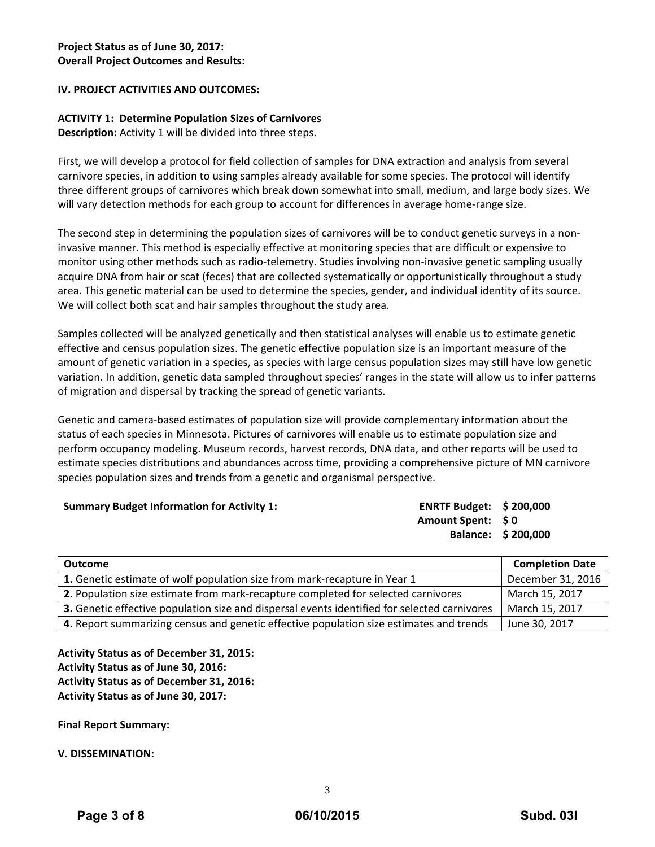# **IV. PROJECT ACTIVITIES AND OUTCOMES:**

# **ACTIVITY 1: Determine Population Sizes of Carnivores**

**Description:** Activity 1 will be divided into three steps.

First, we will develop a protocol for field collection of samples for DNA extraction and analysis from several carnivore species, in addition to using samples already available for some species. The protocol will identify three different groups of carnivores which break down somewhat into small, medium, and large body sizes. We will vary detection methods for each group to account for differences in average home-range size.

The second step in determining the population sizes of carnivores will be to conduct genetic surveys in a non‐ invasive manner. This method is especially effective at monitoring species that are difficult or expensive to monitor using other methods such as radio-telemetry. Studies involving non-invasive genetic sampling usually acquire DNA from hair or scat (feces) that are collected systematically or opportunistically throughout a study area. This genetic material can be used to determine the species, gender, and individual identity of its source. We will collect both scat and hair samples throughout the study area.

Samples collected will be analyzed genetically and then statistical analyses will enable us to estimate genetic effective and census population sizes. The genetic effective population size is an important measure of the amount of genetic variation in a species, as species with large census population sizes may still have low genetic variation. In addition, genetic data sampled throughout species' ranges in the state will allow us to infer patterns of migration and dispersal by tracking the spread of genetic variants.

Genetic and camera‐based estimates of population size will provide complementary information about the status of each species in Minnesota. Pictures of carnivores will enable us to estimate population size and perform occupancy modeling. Museum records, harvest records, DNA data, and other reports will be used to estimate species distributions and abundances across time, providing a comprehensive picture of MN carnivore species population sizes and trends from a genetic and organismal perspective.

| <b>Summary Budget Information for Activity 1:</b> | <b>ENRTF Budget: \$200,000</b> |                    |
|---------------------------------------------------|--------------------------------|--------------------|
|                                                   | Amount Spent: \$0              |                    |
|                                                   |                                | Balance: \$200,000 |
|                                                   |                                |                    |

| Outcome                                                                                      | <b>Completion Date</b> |
|----------------------------------------------------------------------------------------------|------------------------|
| 1. Genetic estimate of wolf population size from mark-recapture in Year 1                    | December 31, 2016      |
| 2. Population size estimate from mark-recapture completed for selected carnivores            | March 15, 2017         |
| 3. Genetic effective population size and dispersal events identified for selected carnivores | March 15, 2017         |
| 4. Report summarizing census and genetic effective population size estimates and trends      | June 30, 2017          |

**Activity Status as of December 31, 2015: Activity Status as of June 30, 2016: Activity Status as of December 31, 2016: Activity Status as of June 30, 2017:**

**Final Report Summary:**

**V. DISSEMINATION:**

3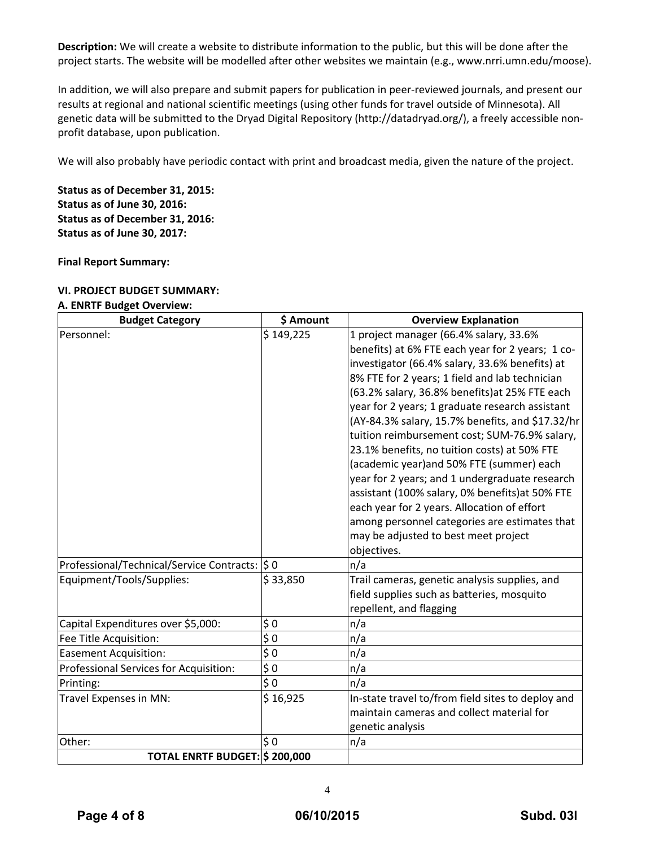**Description:** We will create a website to distribute information to the public, but this will be done after the project starts. The website will be modelled after other websites we maintain (e.g., www.nrri.umn.edu/moose).

In addition, we will also prepare and submit papers for publication in peer-reviewed journals, and present our results at regional and national scientific meetings (using other funds for travel outside of Minnesota). All genetic data will be submitted to the Dryad Digital Repository (http://datadryad.org/), a freely accessible non‐ profit database, upon publication.

We will also probably have periodic contact with print and broadcast media, given the nature of the project.

**Status as of December 31, 2015: Status as of June 30, 2016: Status as of December 31, 2016: Status as of June 30, 2017:**

**Final Report Summary:**

#### **VI. PROJECT BUDGET SUMMARY:**

#### **A. ENRTF Budget Overview:**

| <b>Budget Category</b>                          | \$ Amount | <b>Overview Explanation</b>                       |
|-------------------------------------------------|-----------|---------------------------------------------------|
| Personnel:                                      | \$149,225 | 1 project manager (66.4% salary, 33.6%            |
|                                                 |           | benefits) at 6% FTE each year for 2 years; 1 co-  |
|                                                 |           | investigator (66.4% salary, 33.6% benefits) at    |
|                                                 |           | 8% FTE for 2 years; 1 field and lab technician    |
|                                                 |           | (63.2% salary, 36.8% benefits) at 25% FTE each    |
|                                                 |           | year for 2 years; 1 graduate research assistant   |
|                                                 |           | (AY-84.3% salary, 15.7% benefits, and \$17.32/hr  |
|                                                 |           | tuition reimbursement cost; SUM-76.9% salary,     |
|                                                 |           | 23.1% benefits, no tuition costs) at 50% FTE      |
|                                                 |           | (academic year) and 50% FTE (summer) each         |
|                                                 |           | year for 2 years; and 1 undergraduate research    |
|                                                 |           | assistant (100% salary, 0% benefits) at 50% FTE   |
|                                                 |           | each year for 2 years. Allocation of effort       |
|                                                 |           | among personnel categories are estimates that     |
|                                                 |           | may be adjusted to best meet project              |
|                                                 |           | objectives.                                       |
| Professional/Technical/Service Contracts:  \$ 0 |           | n/a                                               |
| Equipment/Tools/Supplies:                       | \$33,850  | Trail cameras, genetic analysis supplies, and     |
|                                                 |           | field supplies such as batteries, mosquito        |
|                                                 |           | repellent, and flagging                           |
| Capital Expenditures over \$5,000:              | \$0       | n/a                                               |
| Fee Title Acquisition:                          | \$0       | n/a                                               |
| <b>Easement Acquisition:</b>                    | \$0       | n/a                                               |
| Professional Services for Acquisition:          | \$0       | n/a                                               |
| Printing:                                       | \$0       | n/a                                               |
| Travel Expenses in MN:                          | \$16,925  | In-state travel to/from field sites to deploy and |
|                                                 |           | maintain cameras and collect material for         |
|                                                 |           | genetic analysis                                  |
| Other:                                          | \$0       | n/a                                               |
| TOTAL ENRTF BUDGET: \$200,000                   |           |                                                   |

4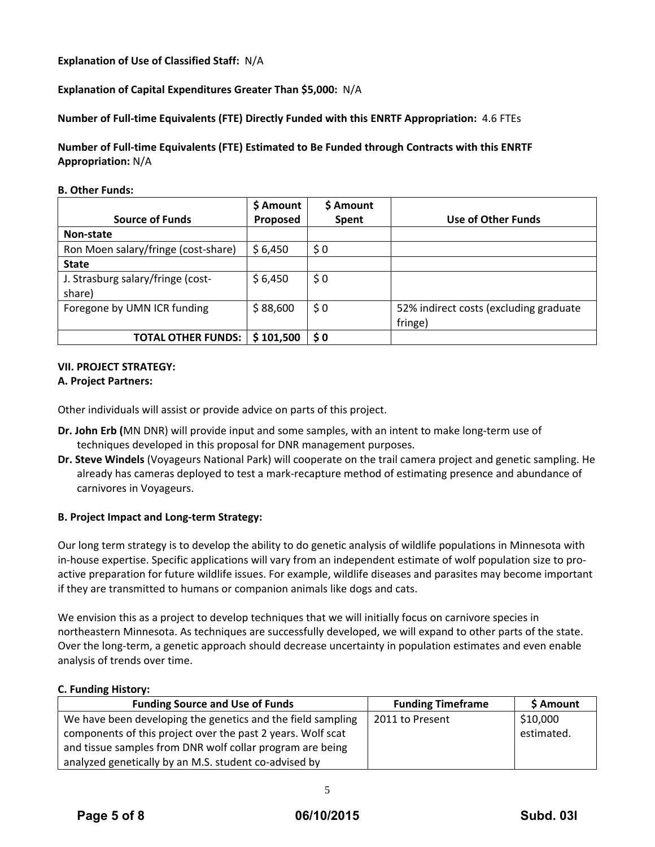**Explanation of Use of Classified Staff:** N/A

**Explanation of Capital Expenditures Greater Than \$5,000:** N/A

**Number of Full‐time Equivalents (FTE) Directly Funded with this ENRTF Appropriation:** 4.6 FTEs

**Number of Full‐time Equivalents (FTE) Estimated to Be Funded through Contracts with this ENRTF Appropriation:** N/A

**B. Other Funds:**

|                                     | \$ Amount       | \$ Amount |                                        |
|-------------------------------------|-----------------|-----------|----------------------------------------|
| <b>Source of Funds</b>              | <b>Proposed</b> | Spent     | <b>Use of Other Funds</b>              |
| Non-state                           |                 |           |                                        |
| Ron Moen salary/fringe (cost-share) | \$6,450         | \$0       |                                        |
| <b>State</b>                        |                 |           |                                        |
| J. Strasburg salary/fringe (cost-   | \$6,450         | \$0       |                                        |
| share)                              |                 |           |                                        |
| Foregone by UMN ICR funding         | \$88,600        | $\zeta$ 0 | 52% indirect costs (excluding graduate |
|                                     |                 |           | fringe)                                |
| <b>TOTAL OTHER FUNDS:</b>           | \$101,500       | $\bm{50}$ |                                        |

# **VII. PROJECT STRATEGY:**

# **A. Project Partners:**

Other individuals will assist or provide advice on parts of this project.

- **Dr. John Erb (**MN DNR) will provide input and some samples, with an intent to make long‐term use of techniques developed in this proposal for DNR management purposes.
- **Dr. Steve Windels** (Voyageurs National Park) will cooperate on the trail camera project and genetic sampling. He already has cameras deployed to test a mark‐recapture method of estimating presence and abundance of carnivores in Voyageurs.

# **B. Project Impact and Long‐term Strategy:**

Our long term strategy is to develop the ability to do genetic analysis of wildlife populations in Minnesota with in-house expertise. Specific applications will vary from an independent estimate of wolf population size to proactive preparation for future wildlife issues. For example, wildlife diseases and parasites may become important if they are transmitted to humans or companion animals like dogs and cats.

We envision this as a project to develop techniques that we will initially focus on carnivore species in northeastern Minnesota. As techniques are successfully developed, we will expand to other parts of the state. Over the long-term, a genetic approach should decrease uncertainty in population estimates and even enable analysis of trends over time.

# **C. Funding History:**

| <b>Funding Source and Use of Funds</b>                      | <b>Funding Timeframe</b> | \$ Amount  |
|-------------------------------------------------------------|--------------------------|------------|
| We have been developing the genetics and the field sampling | 2011 to Present          | \$10,000   |
| components of this project over the past 2 years. Wolf scat |                          | estimated. |
| and tissue samples from DNR wolf collar program are being   |                          |            |
| analyzed genetically by an M.S. student co-advised by       |                          |            |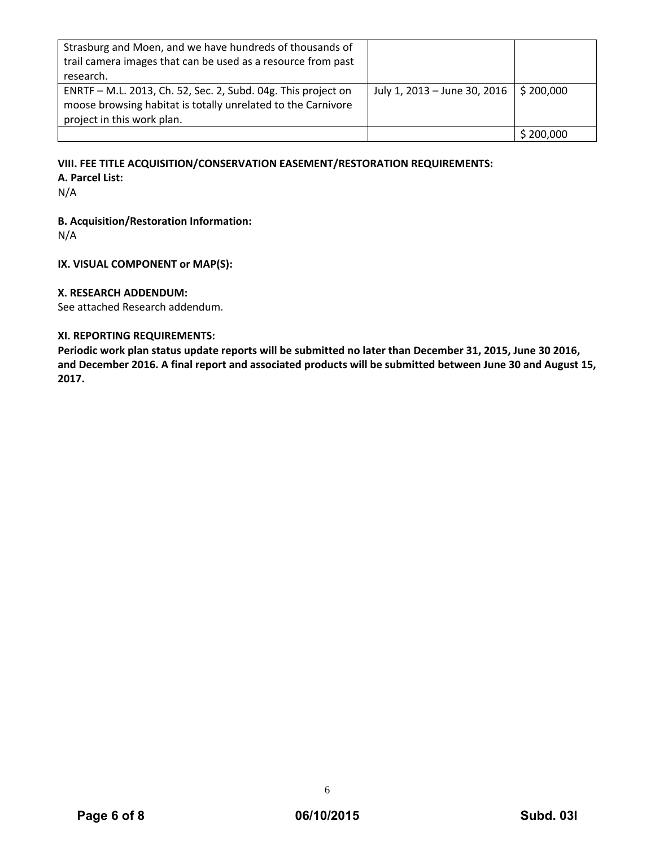| Strasburg and Moen, and we have hundreds of thousands of<br>trail camera images that can be used as a resource from past<br>research.                       |                                                       |         |
|-------------------------------------------------------------------------------------------------------------------------------------------------------------|-------------------------------------------------------|---------|
| ENRTF - M.L. 2013, Ch. 52, Sec. 2, Subd. 04g. This project on<br>moose browsing habitat is totally unrelated to the Carnivore<br>project in this work plan. | July 1, 2013 – June 30, 2016 $\frac{1}{2}$ \$ 200,000 |         |
|                                                                                                                                                             |                                                       | 200,000 |

#### **VIII. FEE TITLE ACQUISITION/CONSERVATION EASEMENT/RESTORATION REQUIREMENTS:**

**A. Parcel List:**

N/A

### **B. Acquisition/Restoration Information:**

N/A

### **IX. VISUAL COMPONENT or MAP(S):**

#### **X. RESEARCH ADDENDUM:**

See attached Research addendum.

# **XI. REPORTING REQUIREMENTS:**

Periodic work plan status update reports will be submitted no later than December 31, 2015, June 30 2016, and December 2016. A final report and associated products will be submitted between June 30 and August 15, **2017.**

6